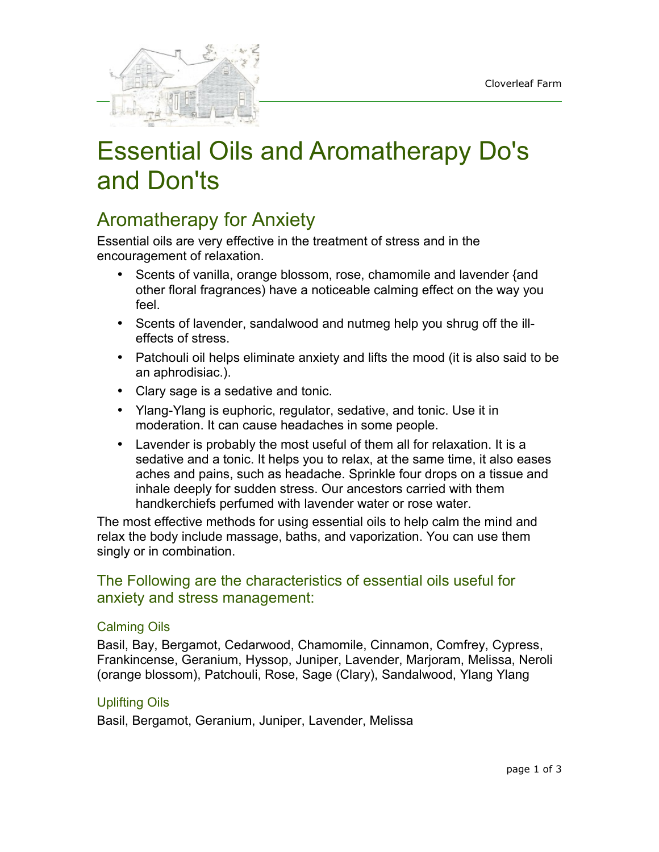

# Essential Oils and Aromatherapy Do's and Don'ts

## Aromatherapy for Anxiety

Essential oils are very effective in the treatment of stress and in the encouragement of relaxation.

- Scents of vanilla, orange blossom, rose, chamomile and lavender {and other floral fragrances) have a noticeable calming effect on the way you feel.
- Scents of lavender, sandalwood and nutmeg help you shrug off the illeffects of stress.
- Patchouli oil helps eliminate anxiety and lifts the mood (it is also said to be an aphrodisiac.).
- Clary sage is a sedative and tonic.
- Ylang-Ylang is euphoric, regulator, sedative, and tonic. Use it in moderation. It can cause headaches in some people.
- Lavender is probably the most useful of them all for relaxation. It is a sedative and a tonic. It helps you to relax, at the same time, it also eases aches and pains, such as headache. Sprinkle four drops on a tissue and inhale deeply for sudden stress. Our ancestors carried with them handkerchiefs perfumed with lavender water or rose water.

The most effective methods for using essential oils to help calm the mind and relax the body include massage, baths, and vaporization. You can use them singly or in combination.

### The Following are the characteristics of essential oils useful for anxiety and stress management:

### Calming Oils

Basil, Bay, Bergamot, Cedarwood, Chamomile, Cinnamon, Comfrey, Cypress, Frankincense, Geranium, Hyssop, Juniper, Lavender, Marjoram, Melissa, Neroli (orange blossom), Patchouli, Rose, Sage (Clary), Sandalwood, Ylang Ylang

### Uplifting Oils

Basil, Bergamot, Geranium, Juniper, Lavender, Melissa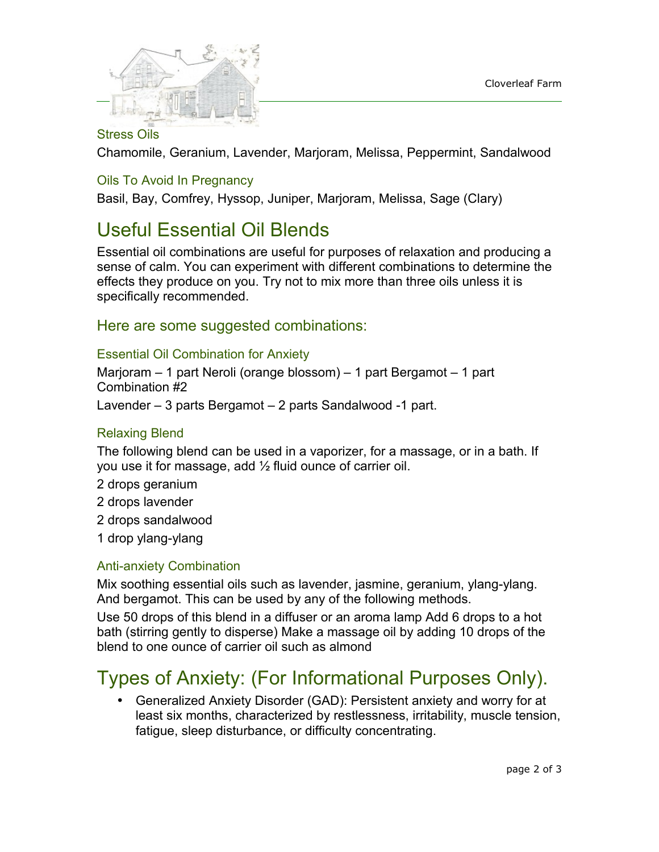

### Stress Oils

Chamomile, Geranium, Lavender, Marjoram, Melissa, Peppermint, Sandalwood

### Oils To Avoid In Pregnancy

Basil, Bay, Comfrey, Hyssop, Juniper, Marjoram, Melissa, Sage (Clary)

### Useful Essential Oil Blends

Essential oil combinations are useful for purposes of relaxation and producing a sense of calm. You can experiment with different combinations to determine the effects they produce on you. Try not to mix more than three oils unless it is specifically recommended.

### Here are some suggested combinations:

#### Essential Oil Combination for Anxiety

Marjoram – 1 part Neroli (orange blossom) – 1 part Bergamot – 1 part Combination #2

Lavender – 3 parts Bergamot – 2 parts Sandalwood -1 part.

### Relaxing Blend

The following blend can be used in a vaporizer, for a massage, or in a bath. If you use it for massage, add ½ fluid ounce of carrier oil.

- 2 drops geranium
- 2 drops lavender
- 2 drops sandalwood
- 1 drop ylang-ylang

### Anti-anxiety Combination

Mix soothing essential oils such as lavender, jasmine, geranium, ylang-ylang. And bergamot. This can be used by any of the following methods.

Use 50 drops of this blend in a diffuser or an aroma lamp Add 6 drops to a hot bath (stirring gently to disperse) Make a massage oil by adding 10 drops of the blend to one ounce of carrier oil such as almond

# Types of Anxiety: (For Informational Purposes Only).

• Generalized Anxiety Disorder (GAD): Persistent anxiety and worry for at least six months, characterized by restlessness, irritability, muscle tension, fatigue, sleep disturbance, or difficulty concentrating.